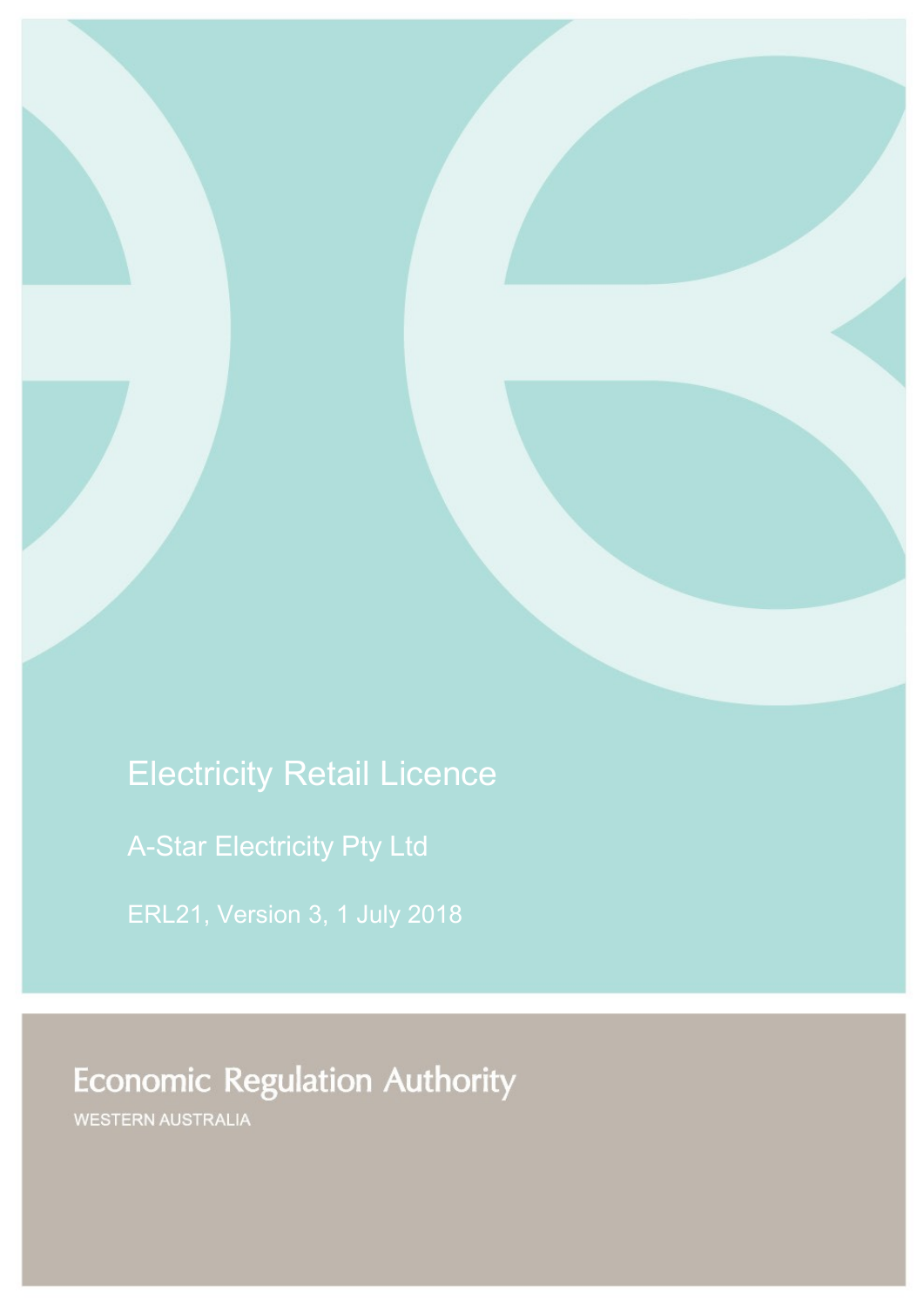# Electricity Retail Licence

A-Star Electricity Pty Ltd

ERL21, Version 3, 1 July 2018

# **Economic Regulation Authority**

WESTERN AUSTRALIA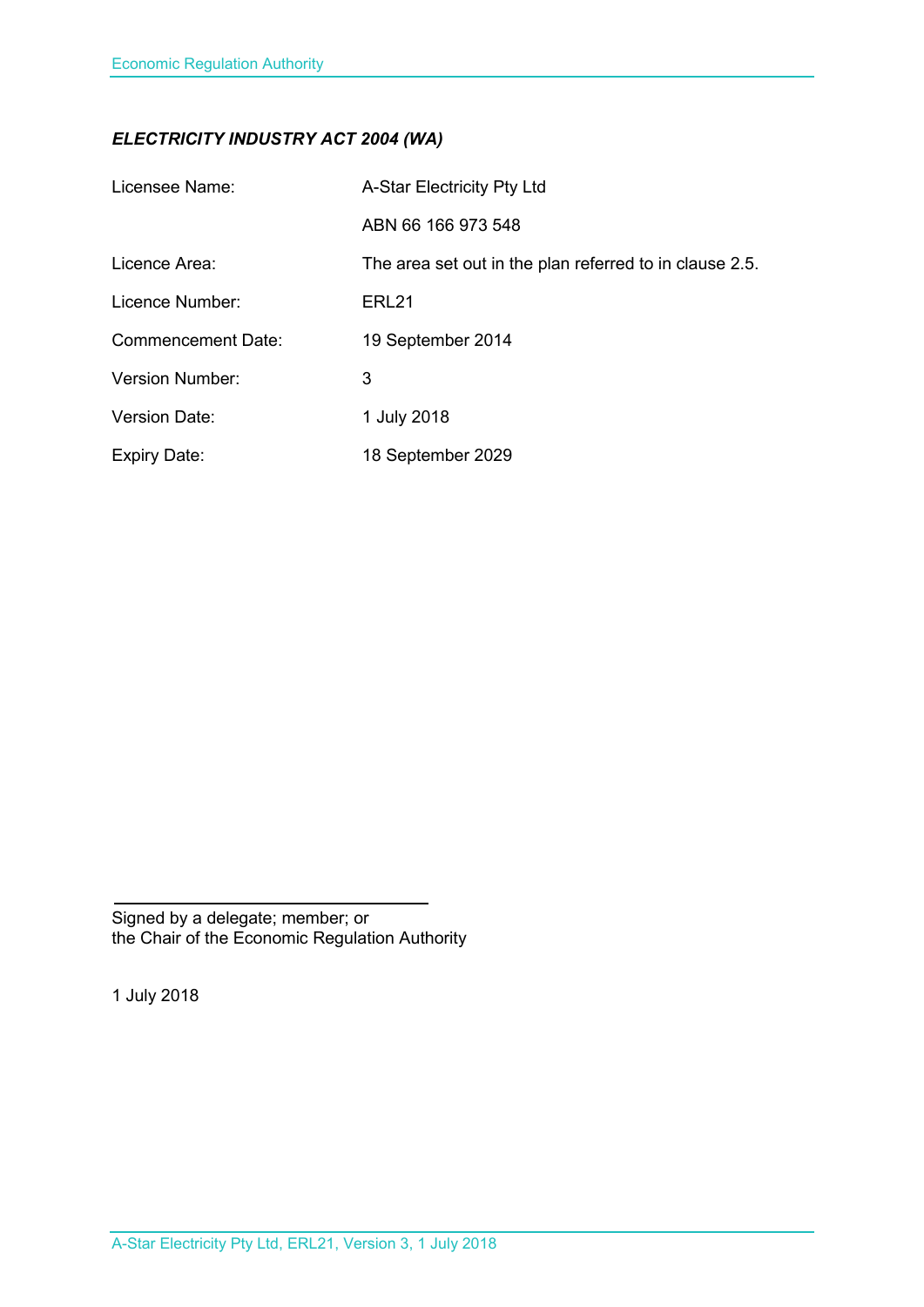## *ELECTRICITY INDUSTRY ACT 2004 (WA)*

| Licensee Name:            | A-Star Electricity Pty Ltd                              |
|---------------------------|---------------------------------------------------------|
|                           | ABN 66 166 973 548                                      |
| Licence Area:             | The area set out in the plan referred to in clause 2.5. |
| Licence Number:           | ERL21                                                   |
| <b>Commencement Date:</b> | 19 September 2014                                       |
| <b>Version Number:</b>    | 3                                                       |
| <b>Version Date:</b>      | 1 July 2018                                             |
| <b>Expiry Date:</b>       | 18 September 2029                                       |

Signed by a delegate; member; or the Chair of the Economic Regulation Authority

1 July 2018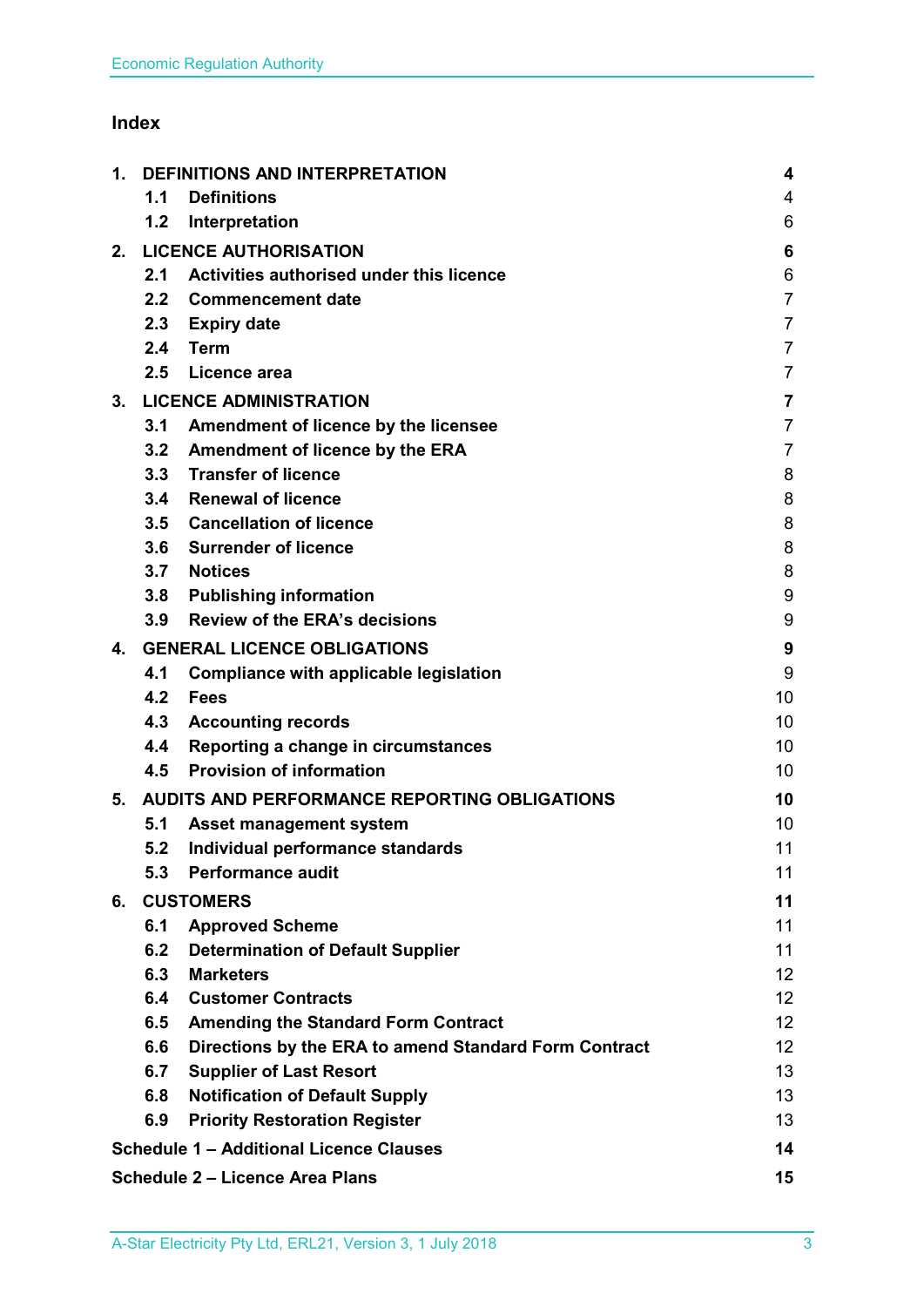## **Index**

| 1. | <b>DEFINITIONS AND INTERPRETATION</b> |                                                       | 4               |
|----|---------------------------------------|-------------------------------------------------------|-----------------|
|    | 1.1                                   | <b>Definitions</b>                                    | 4               |
|    | 1.2                                   | Interpretation                                        | 6               |
| 2. |                                       | <b>LICENCE AUTHORISATION</b>                          | 6               |
|    | 2.1                                   | Activities authorised under this licence              | 6               |
|    | 2.2 <sub>2</sub>                      | <b>Commencement date</b>                              | $\overline{7}$  |
|    | 2.3                                   | <b>Expiry date</b>                                    | $\overline{7}$  |
|    | 2.4                                   | <b>Term</b>                                           | $\overline{7}$  |
|    | 2.5                                   | Licence area                                          | $\overline{7}$  |
| 3. |                                       | <b>LICENCE ADMINISTRATION</b>                         | 7               |
|    | 3.1                                   | Amendment of licence by the licensee                  | $\overline{7}$  |
|    | 3.2                                   | <b>Amendment of licence by the ERA</b>                | $\overline{7}$  |
|    | 3.3                                   | <b>Transfer of licence</b>                            | 8               |
|    | 3.4                                   | <b>Renewal of licence</b>                             | 8               |
|    | 3.5                                   | <b>Cancellation of licence</b>                        | 8               |
|    | 3.6                                   | <b>Surrender of licence</b>                           | 8               |
|    | 3.7                                   | <b>Notices</b>                                        | 8               |
|    | 3.8                                   | <b>Publishing information</b>                         | 9               |
|    | 3.9                                   | <b>Review of the ERA's decisions</b>                  | 9               |
| 4. | <b>GENERAL LICENCE OBLIGATIONS</b>    |                                                       | 9               |
|    | 4.1                                   | Compliance with applicable legislation                | 9               |
|    | 4.2                                   | <b>Fees</b>                                           | 10              |
|    | 4.3                                   | <b>Accounting records</b>                             | 10              |
|    | 4.4                                   | Reporting a change in circumstances                   | 10              |
|    | 4.5                                   | <b>Provision of information</b>                       | 10              |
| 5. |                                       | AUDITS AND PERFORMANCE REPORTING OBLIGATIONS          | 10              |
|    | 5.1                                   | <b>Asset management system</b>                        | 10              |
|    | 5.2                                   | Individual performance standards                      | 11              |
|    | 5.3                                   | <b>Performance audit</b>                              | 11              |
| 6. |                                       | <b>CUSTOMERS</b>                                      | 11              |
|    | 6.1                                   | <b>Approved Scheme</b>                                | 11              |
|    | 6.2                                   | <b>Determination of Default Supplier</b>              | 11              |
|    | 6.3                                   | <b>Marketers</b>                                      | 12 <sup>2</sup> |
|    | 6.4                                   | <b>Customer Contracts</b>                             | 12 <sub>2</sub> |
|    | 6.5                                   | <b>Amending the Standard Form Contract</b>            | 12 <sub>2</sub> |
|    | 6.6                                   | Directions by the ERA to amend Standard Form Contract | 12 <sub>2</sub> |
|    | 6.7                                   | <b>Supplier of Last Resort</b>                        | 13              |
|    | 6.8                                   | <b>Notification of Default Supply</b>                 | 13              |
|    | 6.9                                   | <b>Priority Restoration Register</b>                  | 13              |
|    |                                       | <b>Schedule 1 - Additional Licence Clauses</b>        | 14              |
|    |                                       | <b>Schedule 2 - Licence Area Plans</b>                | 15              |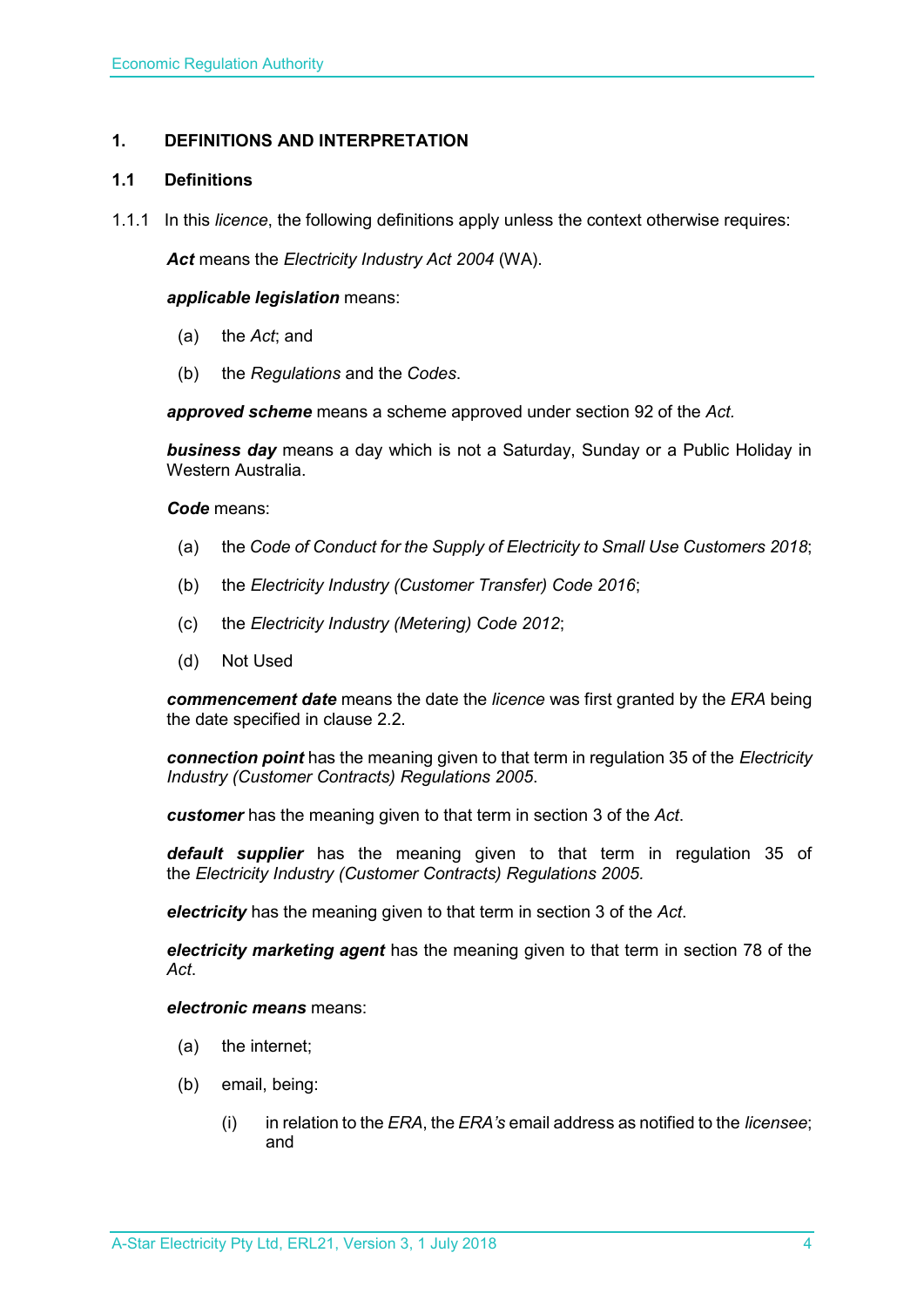## <span id="page-3-0"></span>**1. DEFINITIONS AND INTERPRETATION**

## <span id="page-3-1"></span>**1.1 Definitions**

1.1.1 In this *licence*, the following definitions apply unless the context otherwise requires:

*Act* means the *Electricity Industry Act 2004* (WA).

## *applicable legislation* means:

- (a) the *Act*; and
- (b) the *Regulations* and the *Codes*.

*approved scheme* means a scheme approved under section 92 of the *Act.* 

*business day* means a day which is not a Saturday, Sunday or a Public Holiday in Western Australia.

*Code* means:

- (a) the *Code of Conduct for the Supply of Electricity to Small Use Customers 2018*;
- (b) the *Electricity Industry (Customer Transfer) Code 2016*;
- (c) the *Electricity Industry (Metering) Code 2012*;
- (d) Not Used

*commencement date* means the date the *licence* was first granted by the *ERA* being the date specified in clause 2.2.

*connection point* has the meaning given to that term in regulation 35 of the *[Electricity](http://www.slp.wa.gov.au/legislation/statutes.nsf/main_mrtitle_1345_homepage.html)  [Industry \(Customer Contracts\) Regulations 2005](http://www.slp.wa.gov.au/legislation/statutes.nsf/main_mrtitle_1345_homepage.html)*.

*customer* has the meaning given to that term in section 3 of the *Act*.

*default supplier* has the meaning given to that term in regulation 35 of the *Electricity [Industry \(Customer Contracts\) Regulations 2005.](http://www.slp.wa.gov.au/legislation/statutes.nsf/main_mrtitle_1345_homepage.html)*

*electricity* has the meaning given to that term in section 3 of the *Act*.

*electricity marketing agent* has the meaning given to that term in section 78 of the *Act*.

## *electronic means* means:

- (a) the internet;
- (b) email, being:
	- (i) in relation to the *ERA*, the *ERA's* email address as notified to the *licensee*; and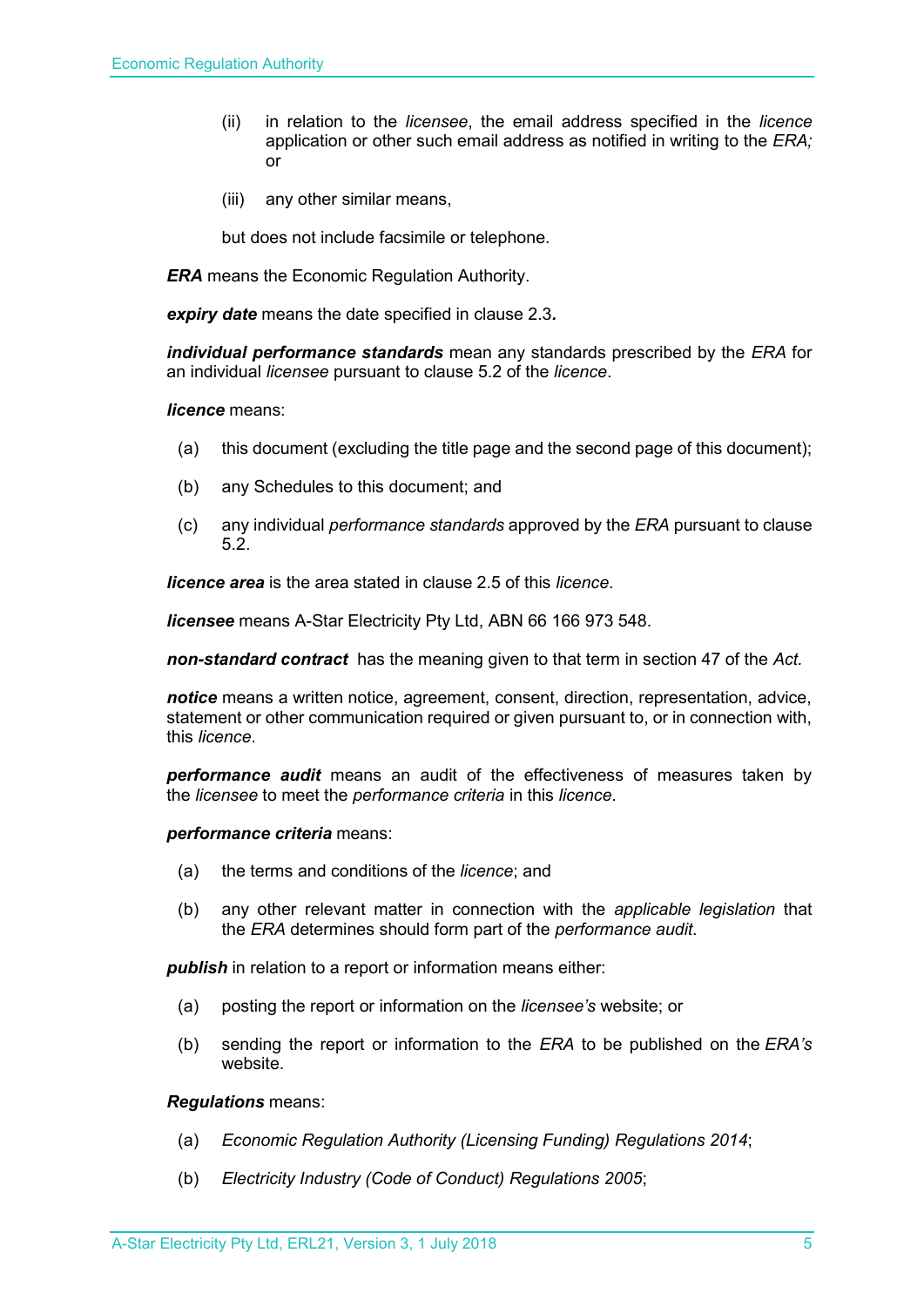- (ii) in relation to the *licensee*, the email address specified in the *licence* application or other such email address as notified in writing to the *ERA;* or
- (iii) any other similar means,

but does not include facsimile or telephone.

*ERA* means the Economic Regulation Authority.

*expiry date* means the date specified in clause 2.3*.*

*individual performance standards* mean any standards prescribed by the *ERA* for an individual *licensee* pursuant to clause 5.2 of the *licence*.

## *licence* means:

- (a) this document (excluding the title page and the second page of this document);
- (b) any Schedules to this document; and
- (c) any individual *performance standards* approved by the *ERA* pursuant to clause 5.2.

*licence area* is the area stated in clause 2.5 of this *licence*.

*licensee* means A-Star Electricity Pty Ltd, ABN 66 166 973 548.

*non-standard contract* has the meaning given to that term in section 47 of the *Act.* 

*notice* means a written notice, agreement, consent, direction, representation, advice, statement or other communication required or given pursuant to, or in connection with, this *licence*.

*performance audit* means an audit of the effectiveness of measures taken by the *licensee* to meet the *performance criteria* in this *licence*.

*performance criteria* means:

- (a) the terms and conditions of the *licence*; and
- (b) any other relevant matter in connection with the *applicable legislation* that the *ERA* determines should form part of the *performance audit*.

*publish* in relation to a report or information means either:

- (a) posting the report or information on the *licensee's* website; or
- (b) sending the report or information to the *ERA* to be published on the *ERA's* website.

*Regulations* means:

- (a) *Economic Regulation Authority (Licensing Funding) Regulations 2014*;
- (b) *Electricity Industry (Code of Conduct) Regulations 2005*;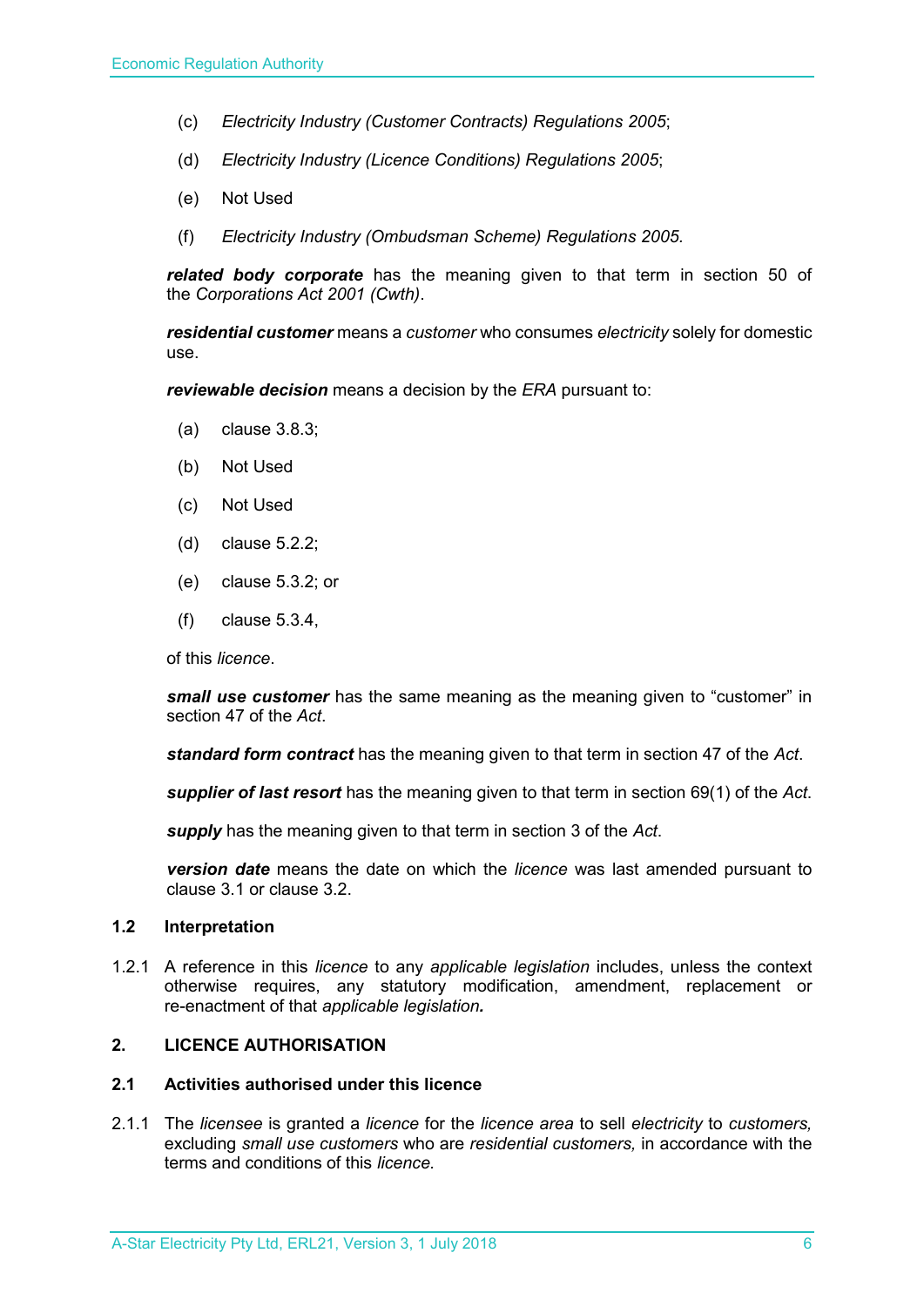- (c) *Electricity Industry (Customer Contracts) Regulations 2005*;
- (d) *Electricity Industry (Licence Conditions) Regulations 2005*;
- (e) Not Used
- (f) *Electricity Industry (Ombudsman Scheme) Regulations 2005.*

*related body corporate* has the meaning given to that term in section 50 of the *Corporations Act 2001 (Cwth)*.

*residential customer* means a *customer* who consumes *electricity* solely for domestic use.

*reviewable decision* means a decision by the *ERA* pursuant to:

- (a) clause 3.8.3;
- (b) Not Used
- (c) Not Used
- (d) clause 5.2.2;
- (e) clause 5.3.2; or
- (f) clause 5.3.4,

of this *licence*.

*small use customer* has the same meaning as the meaning given to "customer" in section 47 of the *Act*.

*standard form contract* has the meaning given to that term in section 47 of the *Act*.

*supplier of last resort* has the meaning given to that term in section 69(1) of the *Act*.

*supply* has the meaning given to that term in section 3 of the *Act*.

*version date* means the date on which the *licence* was last amended pursuant to clause 3.1 or clause 3.2.

#### <span id="page-5-0"></span>**1.2 Interpretation**

1.2.1 A reference in this *licence* to any *applicable legislation* includes, unless the context otherwise requires, any statutory modification, amendment, replacement or re-enactment of that *applicable legislation.*

## <span id="page-5-1"></span>**2. LICENCE AUTHORISATION**

## <span id="page-5-2"></span>**2.1 Activities authorised under this licence**

2.1.1 The *licensee* is granted a *licence* for the *licence area* to sell *electricity* to *customers,*  excluding *small use customers* who are *residential customers,* in accordance with the terms and conditions of this *licence.*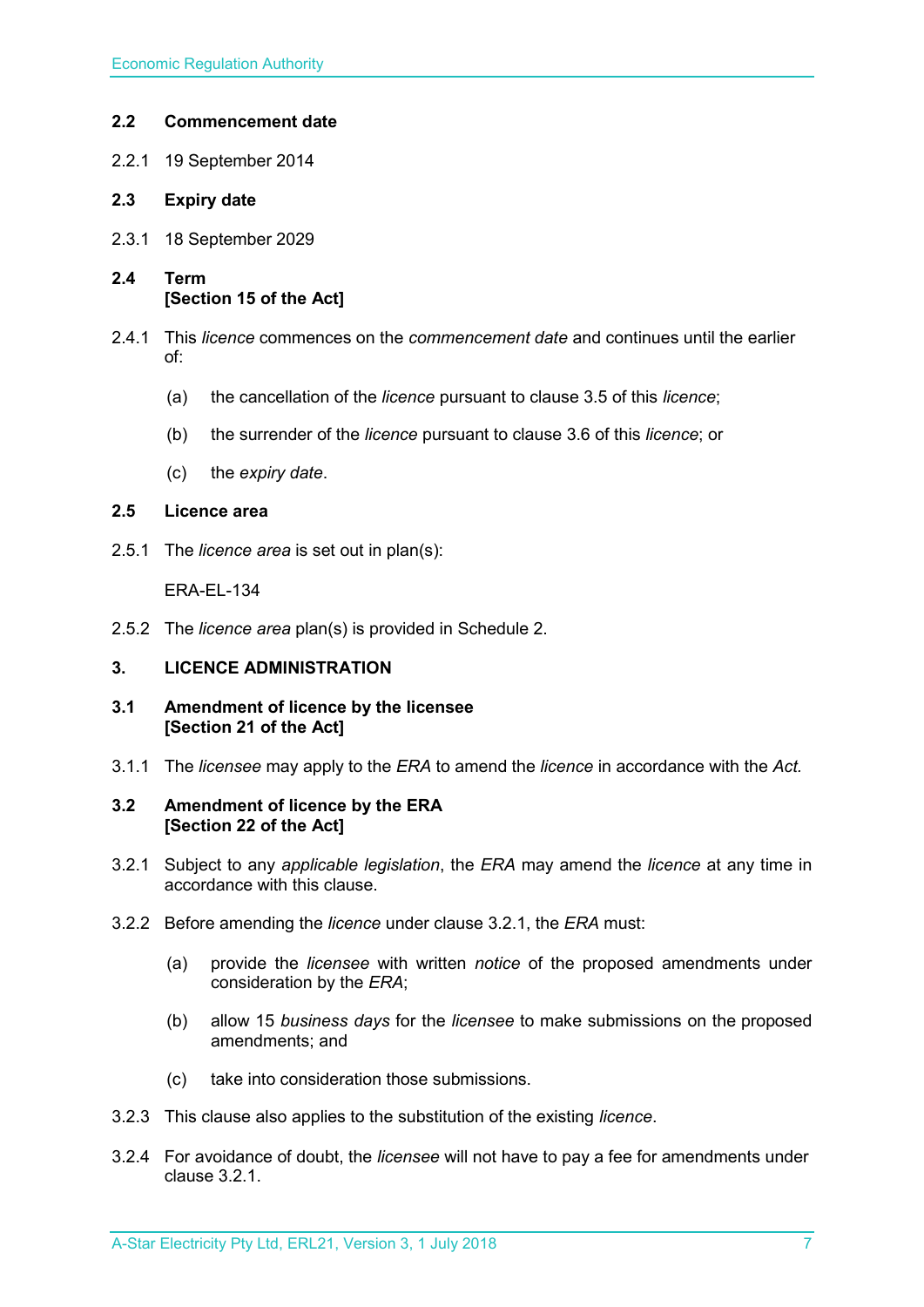## <span id="page-6-0"></span>**2.2 Commencement date**

2.2.1 19 September 2014

## <span id="page-6-1"></span>**2.3 Expiry date**

- 2.3.1 18 September 2029
- <span id="page-6-2"></span>**2.4 Term [Section 15 of the Act]**
- 2.4.1 This *licence* commences on the *commencement date* and continues until the earlier of:
	- (a) the cancellation of the *licence* pursuant to clause 3.5 of this *licence*;
	- (b) the surrender of the *licence* pursuant to clause 3.6 of this *licence*; or
	- (c) the *expiry date*.

## <span id="page-6-3"></span>**2.5 Licence area**

2.5.1 The *licence area* is set out in plan(s):

ERA-EL-134

2.5.2 The *licence area* plan(s) is provided in Schedule 2.

## <span id="page-6-4"></span>**3. LICENCE ADMINISTRATION**

- <span id="page-6-5"></span>**3.1 Amendment of licence by the licensee [Section 21 of the Act]**
- 3.1.1 The *licensee* may apply to the *ERA* to amend the *licence* in accordance with the *Act.*

## <span id="page-6-6"></span>**3.2 Amendment of licence by the ERA [Section 22 of the Act]**

- 3.2.1 Subject to any *applicable legislation*, the *ERA* may amend the *licence* at any time in accordance with this clause.
- 3.2.2 Before amending the *licence* under clause 3.2.1, the *ERA* must:
	- (a) provide the *licensee* with written *notice* of the proposed amendments under consideration by the *ERA*;
	- (b) allow 15 *business days* for the *licensee* to make submissions on the proposed amendments; and
	- (c) take into consideration those submissions.
- 3.2.3 This clause also applies to the substitution of the existing *licence*.
- 3.2.4 For avoidance of doubt, the *licensee* will not have to pay a fee for amendments under clause 3.2.1.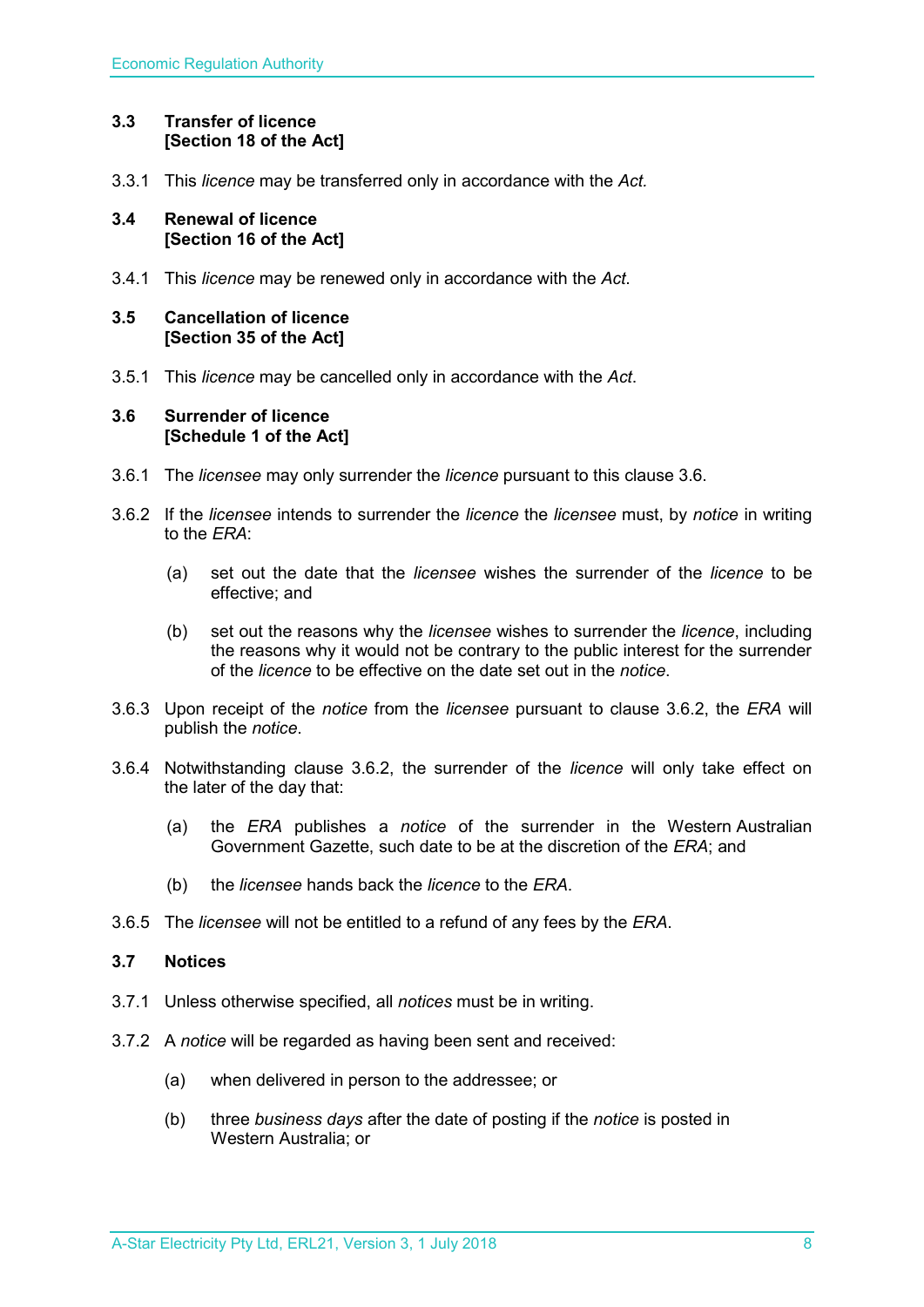## <span id="page-7-0"></span>**3.3 Transfer of licence [Section 18 of the Act]**

3.3.1 This *licence* may be transferred only in accordance with the *Act.*

## <span id="page-7-1"></span>**3.4 Renewal of licence [Section 16 of the Act]**

3.4.1 This *licence* may be renewed only in accordance with the *Act*.

## <span id="page-7-2"></span>**3.5 Cancellation of licence [Section 35 of the Act]**

3.5.1 This *licence* may be cancelled only in accordance with the *Act*.

## <span id="page-7-3"></span>**3.6 Surrender of licence [Schedule 1 of the Act]**

- 3.6.1 The *licensee* may only surrender the *licence* pursuant to this clause 3.6.
- 3.6.2 If the *licensee* intends to surrender the *licence* the *licensee* must, by *notice* in writing to the *ERA*:
	- (a) set out the date that the *licensee* wishes the surrender of the *licence* to be effective; and
	- (b) set out the reasons why the *licensee* wishes to surrender the *licence*, including the reasons why it would not be contrary to the public interest for the surrender of the *licence* to be effective on the date set out in the *notice*.
- 3.6.3 Upon receipt of the *notice* from the *licensee* pursuant to clause 3.6.2, the *ERA* will publish the *notice*.
- 3.6.4 Notwithstanding clause 3.6.2, the surrender of the *licence* will only take effect on the later of the day that:
	- (a) the *ERA* publishes a *notice* of the surrender in the Western Australian Government Gazette, such date to be at the discretion of the *ERA*; and
	- (b) the *licensee* hands back the *licence* to the *ERA*.
- 3.6.5 The *licensee* will not be entitled to a refund of any fees by the *ERA*.

## <span id="page-7-4"></span>**3.7 Notices**

- 3.7.1 Unless otherwise specified, all *notices* must be in writing.
- 3.7.2 A *notice* will be regarded as having been sent and received:
	- (a) when delivered in person to the addressee; or
	- (b) three *business days* after the date of posting if the *notice* is posted in Western Australia; or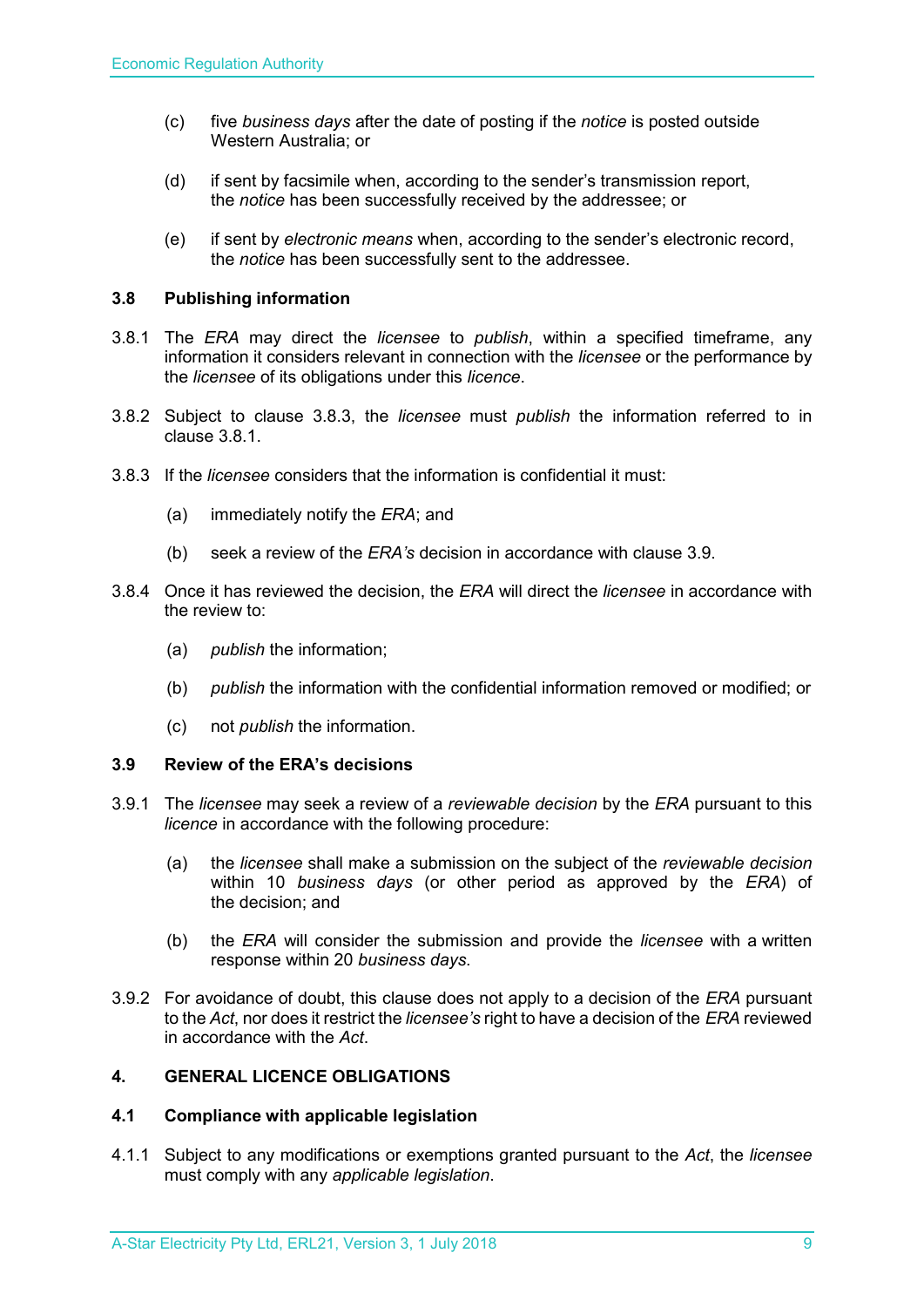- (c) five *business days* after the date of posting if the *notice* is posted outside Western Australia; or
- (d) if sent by facsimile when, according to the sender's transmission report, the *notice* has been successfully received by the addressee; or
- (e) if sent by *electronic means* when, according to the sender's electronic record, the *notice* has been successfully sent to the addressee.

## <span id="page-8-0"></span>**3.8 Publishing information**

- 3.8.1 The *ERA* may direct the *licensee* to *publish*, within a specified timeframe, any information it considers relevant in connection with the *licensee* or the performance by the *licensee* of its obligations under this *licence*.
- 3.8.2 Subject to clause 3.8.3, the *licensee* must *publish* the information referred to in clause 3.8.1.
- 3.8.3 If the *licensee* considers that the information is confidential it must:
	- (a) immediately notify the *ERA*; and
	- (b) seek a review of the *ERA's* decision in accordance with clause 3.9.
- 3.8.4 Once it has reviewed the decision, the *ERA* will direct the *licensee* in accordance with the review to:
	- (a) *publish* the information;
	- (b) *publish* the information with the confidential information removed or modified; or
	- (c) not *publish* the information.

## <span id="page-8-1"></span>**3.9 Review of the ERA's decisions**

- 3.9.1 The *licensee* may seek a review of a *reviewable decision* by the *ERA* pursuant to this *licence* in accordance with the following procedure:
	- (a) the *licensee* shall make a submission on the subject of the *reviewable decision* within 10 *business days* (or other period as approved by the *ERA*) of the decision; and
	- (b) the *ERA* will consider the submission and provide the *licensee* with a written response within 20 *business days*.
- 3.9.2 For avoidance of doubt, this clause does not apply to a decision of the *ERA* pursuant to the *Act*, nor does it restrict the *licensee's* right to have a decision of the *ERA* reviewed in accordance with the *Act*.

## <span id="page-8-2"></span>**4. GENERAL LICENCE OBLIGATIONS**

## <span id="page-8-3"></span>**4.1 Compliance with applicable legislation**

4.1.1 Subject to any modifications or exemptions granted pursuant to the *Act*, the *licensee* must comply with any *applicable legislation*.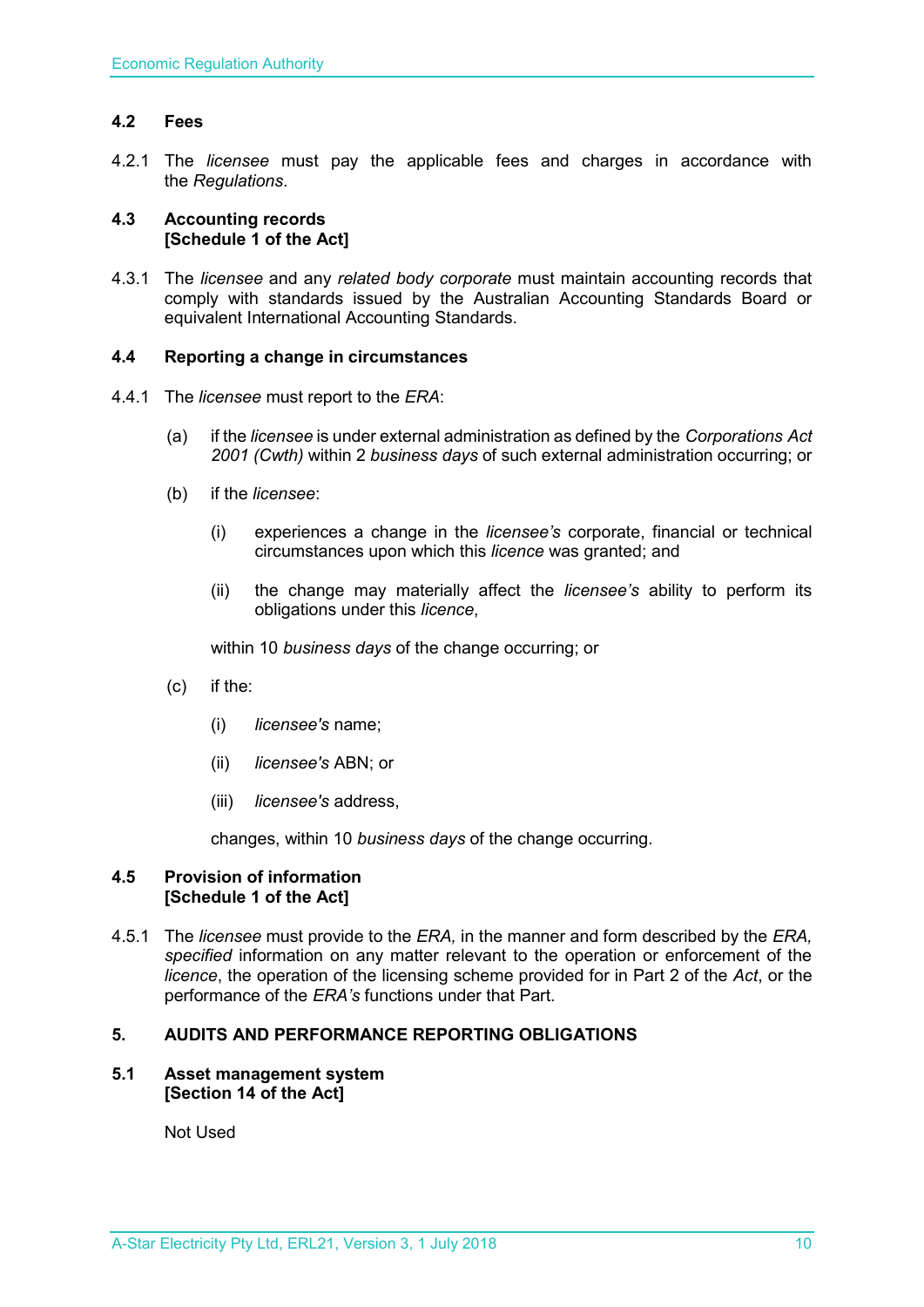## <span id="page-9-0"></span>**4.2 Fees**

4.2.1 The *licensee* must pay the applicable fees and charges in accordance with the *Regulations*.

## <span id="page-9-1"></span>**4.3 Accounting records [Schedule 1 of the Act]**

4.3.1 The *licensee* and any *related body corporate* must maintain accounting records that comply with standards issued by the Australian Accounting Standards Board or equivalent International Accounting Standards.

## <span id="page-9-2"></span>**4.4 Reporting a change in circumstances**

- 4.4.1 The *licensee* must report to the *ERA*:
	- (a) if the *licensee* is under external administration as defined by the *Corporations Act 2001 (Cwth)* within 2 *business days* of such external administration occurring; or
	- (b) if the *licensee*:
		- (i) experiences a change in the *licensee's* corporate, financial or technical circumstances upon which this *licence* was granted; and
		- (ii) the change may materially affect the *licensee's* ability to perform its obligations under this *licence*,

within 10 *business days* of the change occurring; or

- (c) if the:
	- (i) *licensee's* name;
	- (ii) *licensee's* ABN; or
	- (iii) *licensee's* address,

changes, within 10 *business days* of the change occurring.

## <span id="page-9-3"></span>**4.5 Provision of information [Schedule 1 of the Act]**

4.5.1 The *licensee* must provide to the *ERA,* in the manner and form described by the *ERA, specified* information on any matter relevant to the operation or enforcement of the *licence*, the operation of the licensing scheme provided for in Part 2 of the *Act*, or the performance of the *ERA's* functions under that Part.

## <span id="page-9-4"></span>**5. AUDITS AND PERFORMANCE REPORTING OBLIGATIONS**

## <span id="page-9-5"></span>**5.1 Asset management system [Section 14 of the Act]**

Not Used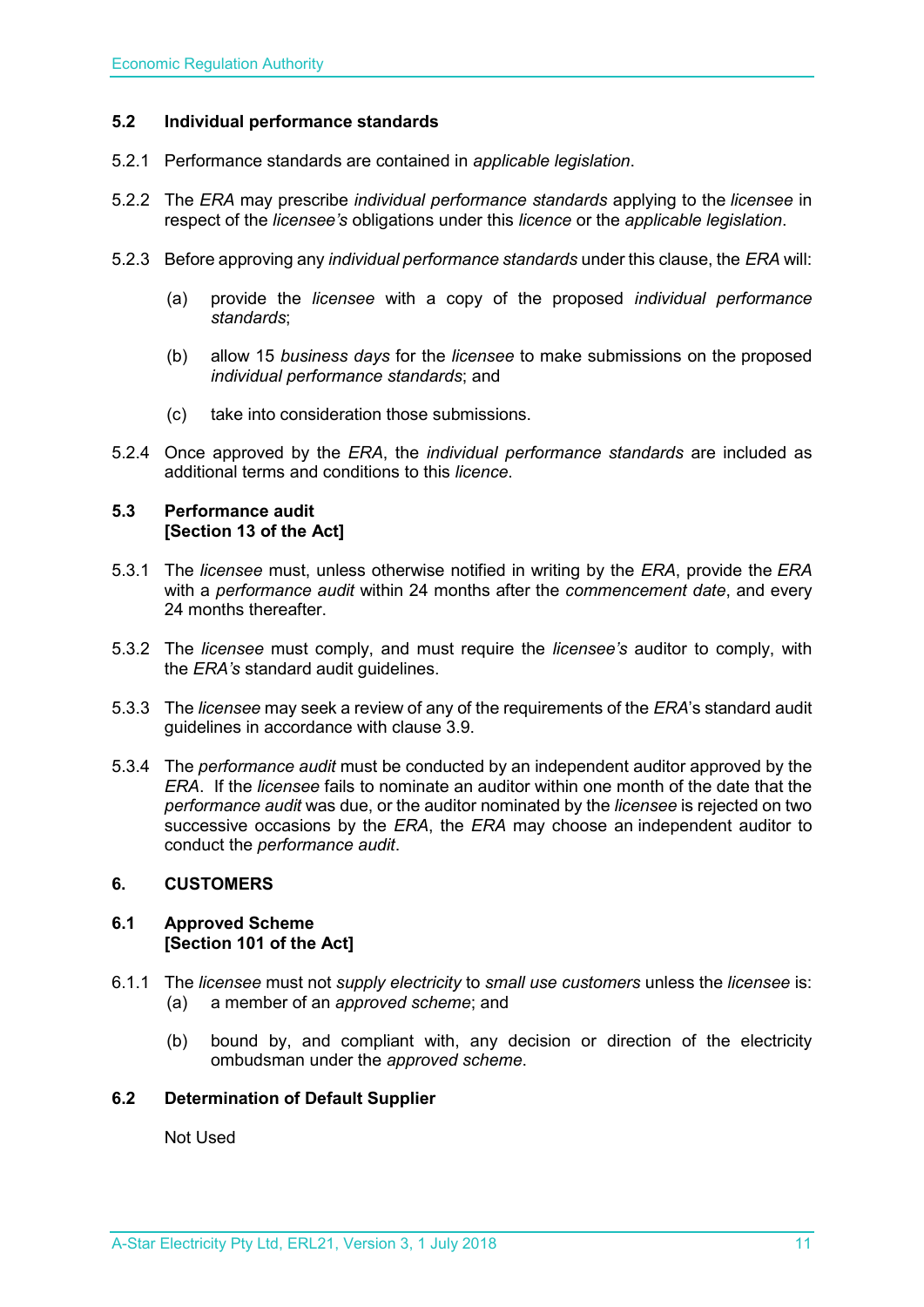## <span id="page-10-0"></span>**5.2 Individual performance standards**

- 5.2.1 Performance standards are contained in *applicable legislation*.
- 5.2.2 The *ERA* may prescribe *individual performance standards* applying to the *licensee* in respect of the *licensee's* obligations under this *licence* or the *applicable legislation*.
- 5.2.3 Before approving any *individual performance standards* under this clause, the *ERA* will:
	- (a) provide the *licensee* with a copy of the proposed *individual performance standards*;
	- (b) allow 15 *business days* for the *licensee* to make submissions on the proposed *individual performance standards*; and
	- (c) take into consideration those submissions.
- 5.2.4 Once approved by the *ERA*, the *individual performance standards* are included as additional terms and conditions to this *licence*.

## <span id="page-10-1"></span>**5.3 Performance audit [Section 13 of the Act]**

- 5.3.1 The *licensee* must, unless otherwise notified in writing by the *ERA*, provide the *ERA* with a *performance audit* within 24 months after the *commencement date*, and every 24 months thereafter.
- 5.3.2 The *licensee* must comply, and must require the *licensee's* auditor to comply, with the *ERA's* standard audit guidelines.
- 5.3.3 The *licensee* may seek a review of any of the requirements of the *ERA*'s standard audit guidelines in accordance with clause 3.9.
- 5.3.4 The *performance audit* must be conducted by an independent auditor approved by the *ERA*. If the *licensee* fails to nominate an auditor within one month of the date that the *performance audit* was due, or the auditor nominated by the *licensee* is rejected on two successive occasions by the *ERA*, the *ERA* may choose an independent auditor to conduct the *performance audit*.

## <span id="page-10-2"></span>**6. CUSTOMERS**

## <span id="page-10-3"></span>**6.1 Approved Scheme [Section 101 of the Act]**

- 6.1.1 The *licensee* must not *supply electricity* to *small use customers* unless the *licensee* is: (a) a member of an *approved scheme*; and
	- (b) bound by, and compliant with, any decision or direction of the electricity ombudsman under the *approved scheme*.

## <span id="page-10-4"></span>**6.2 Determination of Default Supplier**

Not Used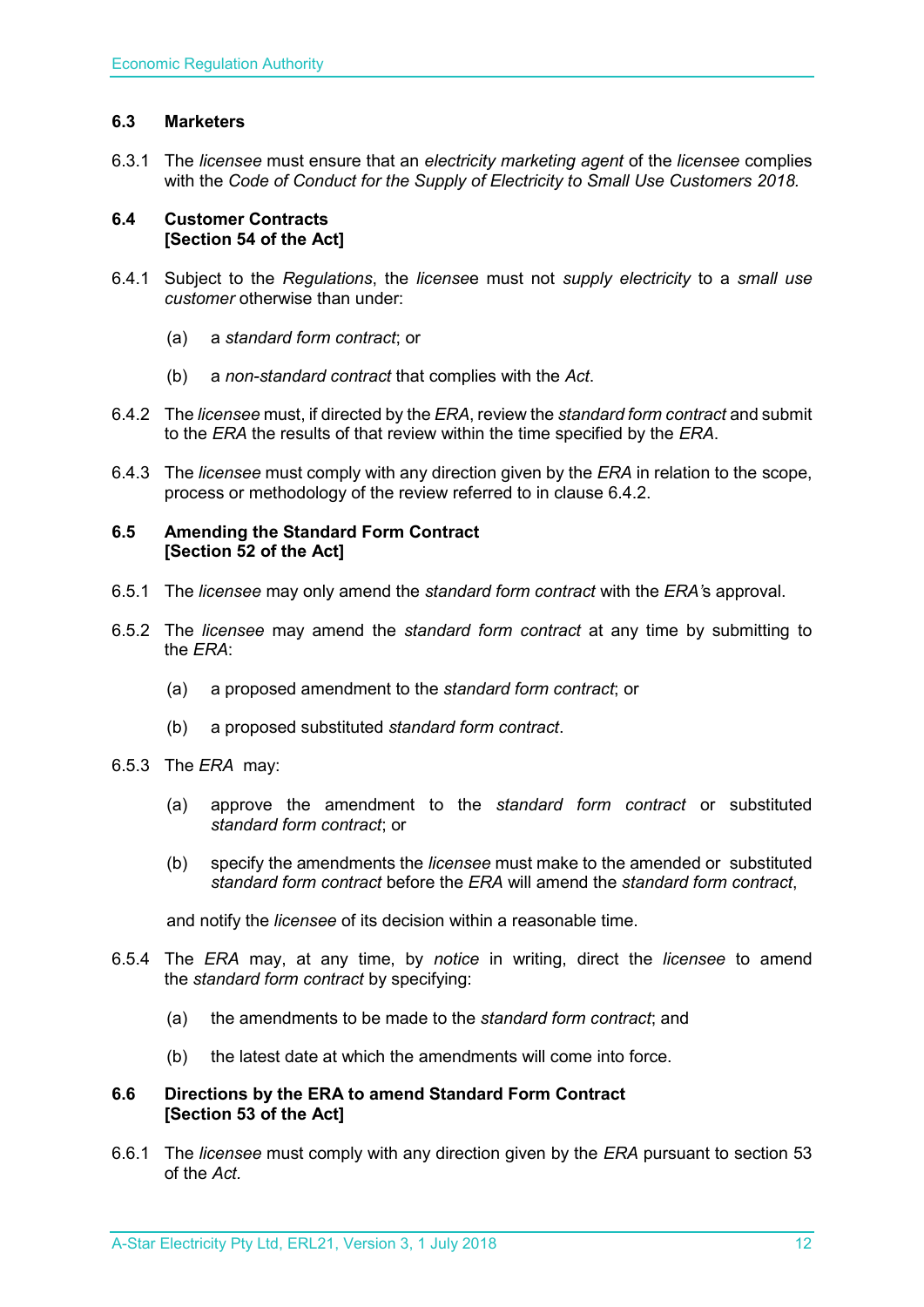## <span id="page-11-0"></span>**6.3 Marketers**

6.3.1 The *licensee* must ensure that an *electricity marketing agent* of the *licensee* complies with the *Code of Conduct for the Supply of Electricity to Small Use Customers 2018.*

## <span id="page-11-1"></span>**6.4 Customer Contracts [Section 54 of the Act]**

- 6.4.1 Subject to the *Regulations*, the *license*e must not *supply electricity* to a *small use customer* otherwise than under:
	- (a) a *standard form contract*; or
	- (b) a *non-standard contract* that complies with the *Act*.
- 6.4.2 The *licensee* must, if directed by the *ERA*, review the *standard form contract* and submit to the *ERA* the results of that review within the time specified by the *ERA*.
- 6.4.3 The *licensee* must comply with any direction given by the *ERA* in relation to the scope, process or methodology of the review referred to in clause 6.4.2.

## <span id="page-11-2"></span>**6.5 Amending the Standard Form Contract [Section 52 of the Act]**

- 6.5.1 The *licensee* may only amend the *standard form contract* with the *ERA'*s approval.
- 6.5.2 The *licensee* may amend the *standard form contract* at any time by submitting to the *ERA*:
	- (a) a proposed amendment to the *standard form contract*; or
	- (b) a proposed substituted *standard form contract*.
- 6.5.3 The *ERA* may:
	- (a) approve the amendment to the *standard form contract* or substituted *standard form contract*; or
	- (b) specify the amendments the *licensee* must make to the amended or substituted *standard form contract* before the *ERA* will amend the *standard form contract*,

and notify the *licensee* of its decision within a reasonable time.

- 6.5.4 The *ERA* may, at any time, by *notice* in writing, direct the *licensee* to amend the *standard form contract* by specifying:
	- (a) the amendments to be made to the *standard form contract*; and
	- (b) the latest date at which the amendments will come into force.

## <span id="page-11-3"></span>**6.6 Directions by the ERA to amend Standard Form Contract [Section 53 of the Act]**

6.6.1 The *licensee* must comply with any direction given by the *ERA* pursuant to section 53 of the *Act.*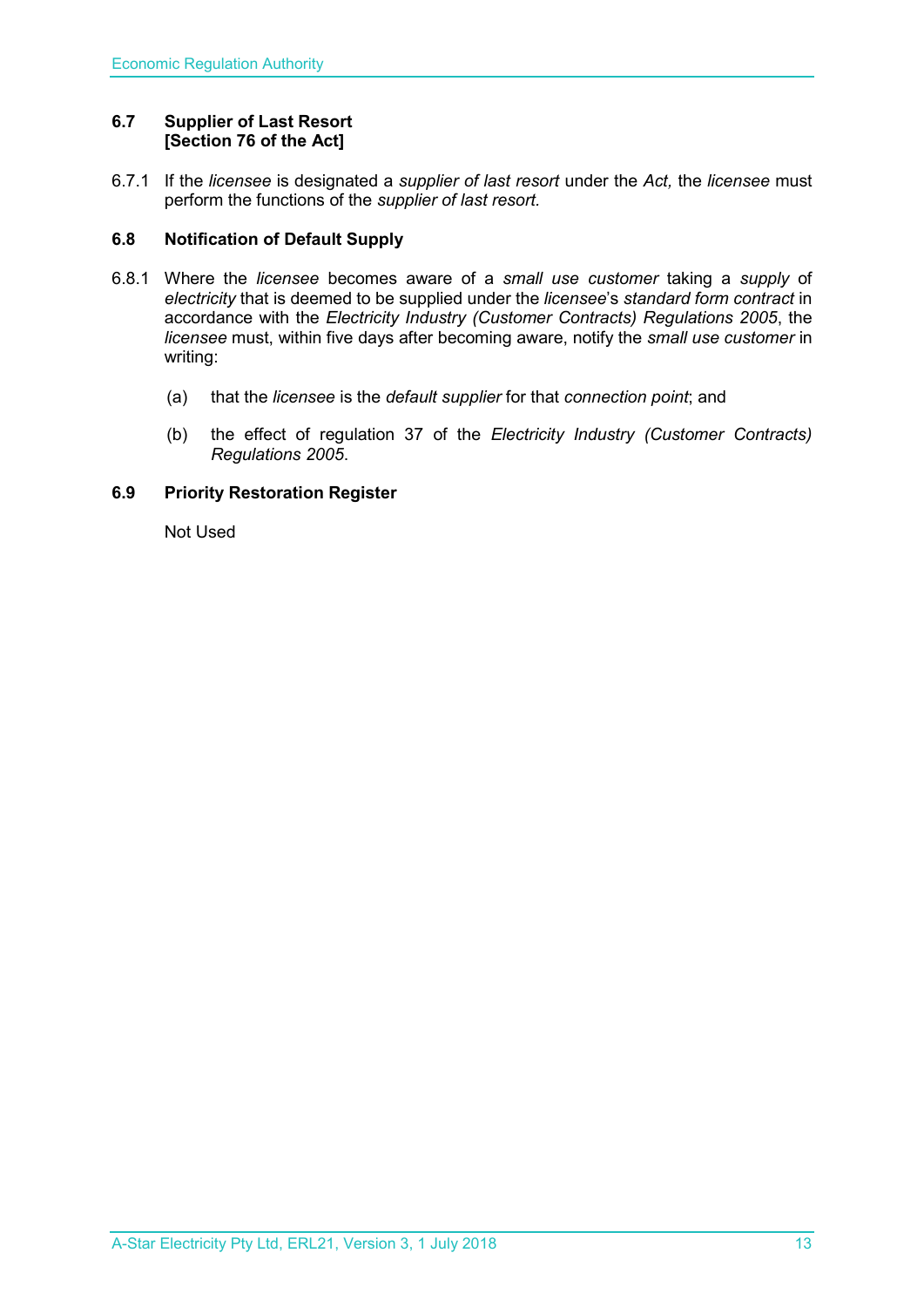## <span id="page-12-0"></span>**6.7 Supplier of Last Resort [Section 76 of the Act]**

6.7.1 If the *licensee* is designated a *supplier of last resort* under the *Act,* the *licensee* must perform the functions of the *supplier of last resort.* 

## <span id="page-12-1"></span>**6.8 Notification of Default Supply**

- 6.8.1 Where the *licensee* becomes aware of a *small use customer* taking a *supply* of *electricity* that is deemed to be supplied under the *licensee*'s *standard form contract* in accordance with the *[Electricity Industry \(Customer Contracts\) Regulations 2005](http://www.slp.wa.gov.au/legislation/statutes.nsf/main_mrtitle_1345_homepage.html)*, the *licensee* must, within five days after becoming aware, notify the *small use customer* in writing:
	- (a) that the *licensee* is the *default supplier* for that *connection point*; and
	- (b) the effect of regulation 37 of the *[Electricity Industry \(Customer Contracts\)](http://www.slp.wa.gov.au/legislation/statutes.nsf/main_mrtitle_1345_homepage.html)  [Regulations 2005](http://www.slp.wa.gov.au/legislation/statutes.nsf/main_mrtitle_1345_homepage.html)*.

## <span id="page-12-2"></span>**6.9 Priority Restoration Register**

Not Used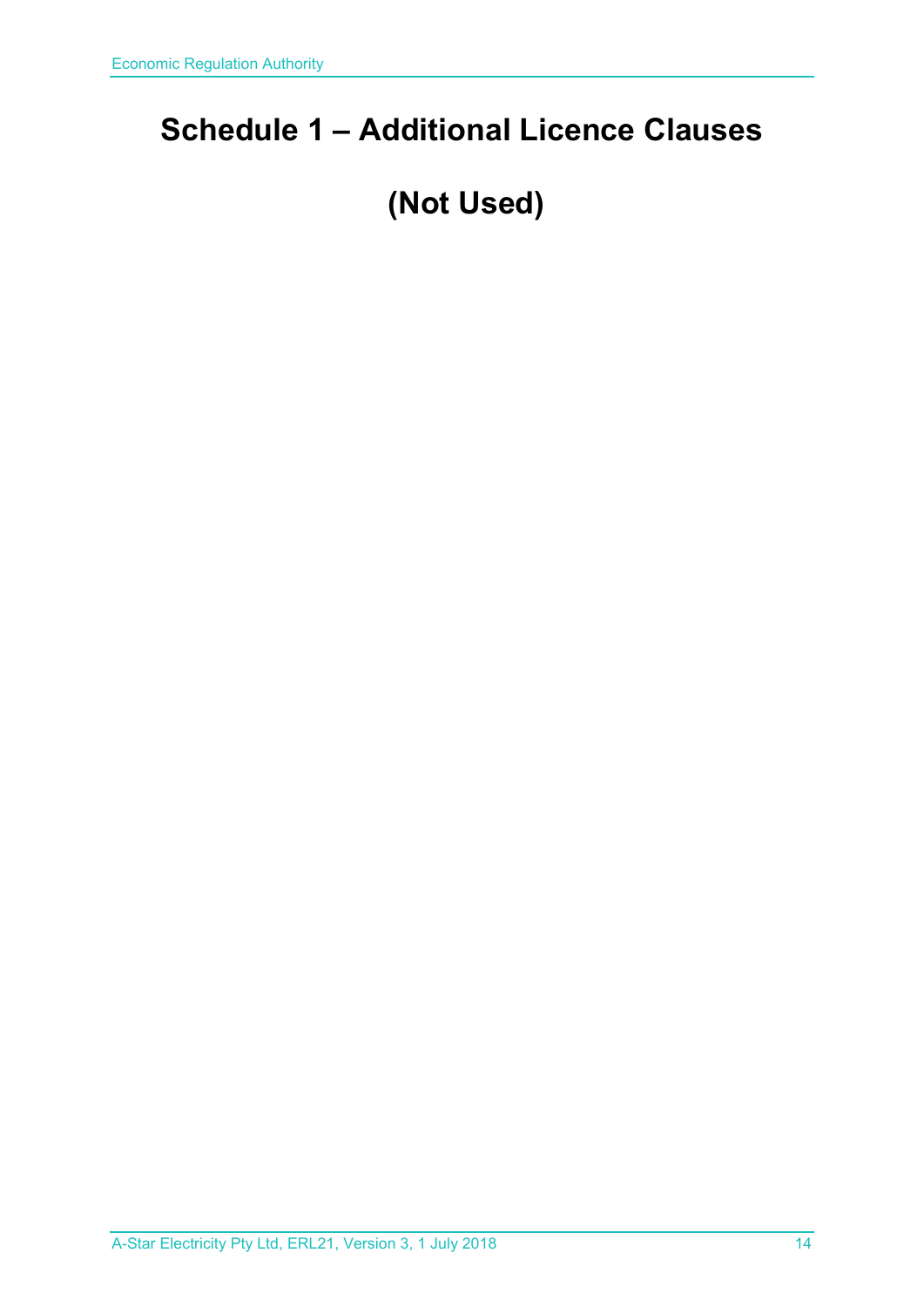## <span id="page-13-0"></span>**Schedule 1 – Additional Licence Clauses**

## **(Not Used)**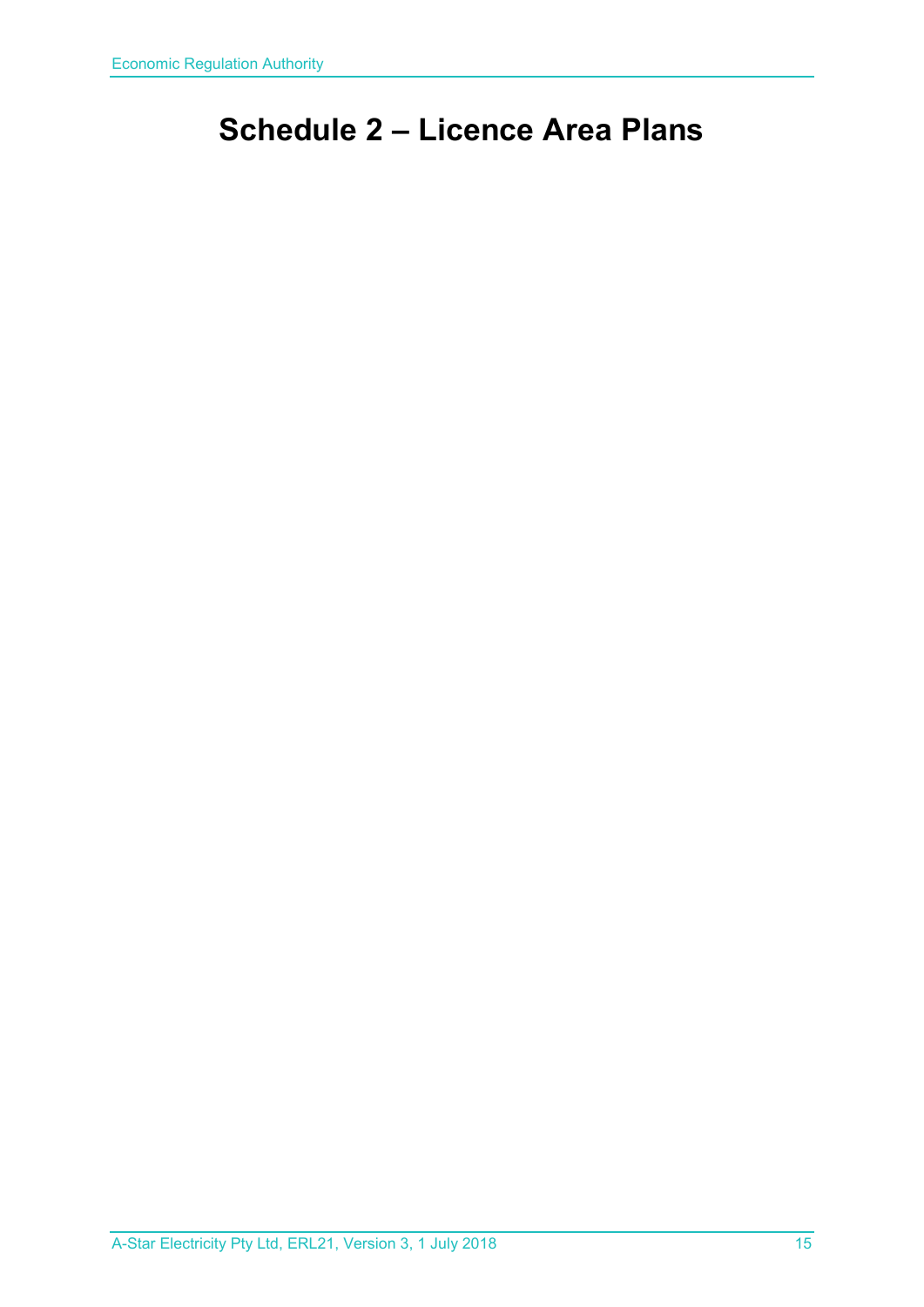## <span id="page-14-0"></span>**Schedule 2 – Licence Area Plans**